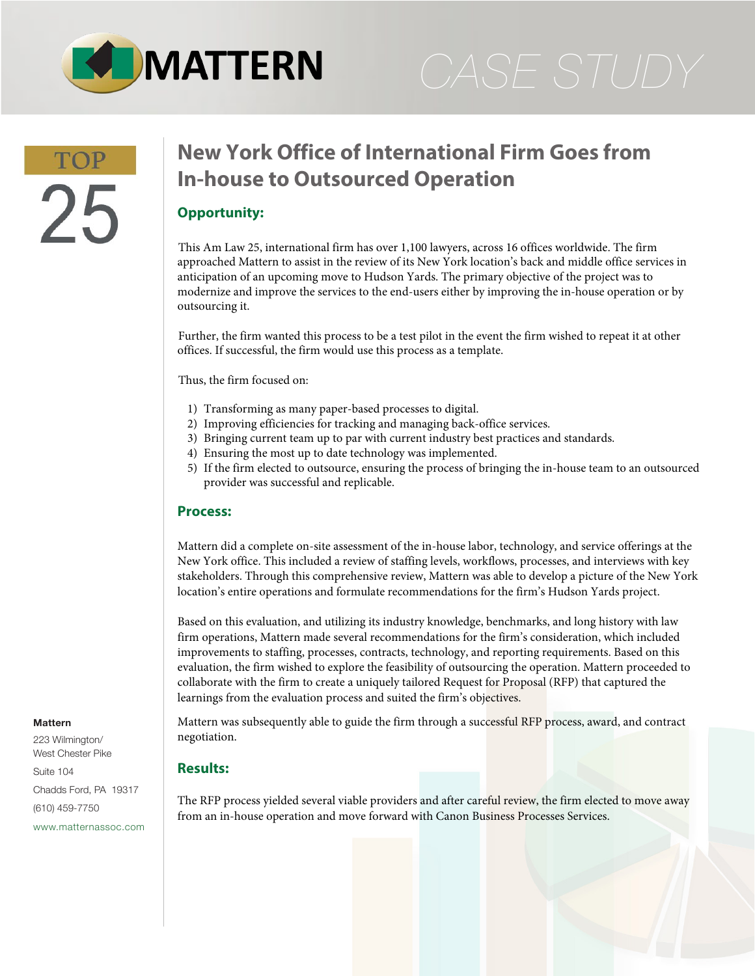

# 25

# **New York Office of International Firm Goes from In-house to Outsourced Operation**

## **Opportunity:**

This Am Law 25, international firm has over 1,100 lawyers, across 16 offices worldwide. The firm approached Mattern to assist in the review of its New York location's back and middle office services in anticipation of an upcoming move to Hudson Yards. The primary objective of the project was to modernize and improve the services to the end-users either by improving the in-house operation or by outsourcing it.

Further, the firm wanted this process to be a test pilot in the event the firm wished to repeat it at other offices. If successful, the firm would use this process as a template.

Thus, the firm focused on:

- 1) Transforming as many paper-based processes to digital.
- 2) Improving efficiencies for tracking and managing back-office services.
- 3) Bringing current team up to par with current industry best practices and standards.
- 4) Ensuring the most up to date technology was implemented.
- 5) If the firm elected to outsource, ensuring the process of bringing the in-house team to an outsourced provider was successful and replicable.

### **Process:**

Mattern did a complete on-site assessment of the in-house labor, technology, and service offerings at the New York office. This included a review of staffing levels, workflows, processes, and interviews with key stakeholders. Through this comprehensive review, Mattern was able to develop a picture of the New York location's entire operations and formulate recommendations for the firm's Hudson Yards project.

Based on this evaluation, and utilizing its industry knowledge, benchmarks, and long history with law firm operations, Mattern made several recommendations for the firm's consideration, which included improvements to staffing, processes, contracts, technology, and reporting requirements. Based on this evaluation, the firm wished to explore the feasibility of outsourcing the operation. Mattern proceeded to collaborate with the firm to create a uniquely tailored Request for Proposal (RFP) that captured the learnings from the evaluation process and suited the firm's objectives.

Mattern was subsequently able to guide the firm through a successful RFP process, award, and contract negotiation.

### **Results:**

The RFP process yielded several viable providers and after careful review, the firm elected to move away from an in-house operation and move forward with Canon Business Processes Services.

### **Mattern**

223 Wilmington/ West Chester Pike Suite 104 Chadds Ford, PA 19317 (610) 459-7750 [www.matternassoc.com](http://www.matternassoc.com)